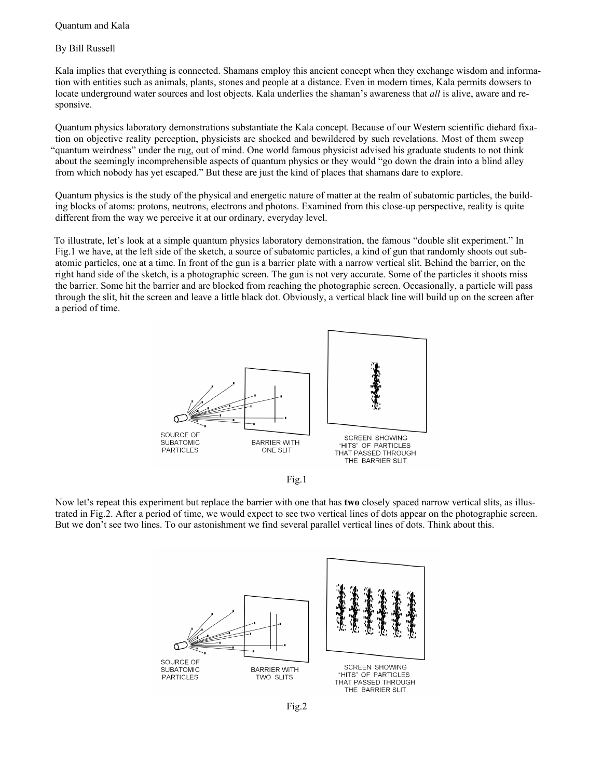## Quantum and Kala

## By Bill Russell

Kala implies that everything is connected. Shamans employ this ancient concept when they exchange wisdom and information with entities such as animals, plants, stones and people at a distance. Even in modern times, Kala permits dowsers to locate underground water sources and lost objects. Kala underlies the shaman's awareness that *all* is alive, aware and responsive.

Quantum physics laboratory demonstrations substantiate the Kala concept. Because of our Western scientific diehard fixation on objective reality perception, physicists are shocked and bewildered by such revelations. Most of them sweep "quantum weirdness" under the rug, out of mind. One world famous physicist advised his graduate students to not think about the seemingly incomprehensible aspects of quantum physics or they would "go down the drain into a blind alley from which nobody has yet escaped." But these are just the kind of places that shamans dare to explore.

Quantum physics is the study of the physical and energetic nature of matter at the realm of subatomic particles, the building blocks of atoms: protons, neutrons, electrons and photons. Examined from this close-up perspective, reality is quite different from the way we perceive it at our ordinary, everyday level.

To illustrate, let's look at a simple quantum physics laboratory demonstration, the famous "double slit experiment." In Fig.1 we have, at the left side of the sketch, a source of subatomic particles, a kind of gun that randomly shoots out subatomic particles, one at a time. In front of the gun is a barrier plate with a narrow vertical slit. Behind the barrier, on the right hand side of the sketch, is a photographic screen. The gun is not very accurate. Some of the particles it shoots miss the barrier. Some hit the barrier and are blocked from reaching the photographic screen. Occasionally, a particle will pass through the slit, hit the screen and leave a little black dot. Obviously, a vertical black line will build up on the screen after a period of time.





Now let's repeat this experiment but replace the barrier with one that has **two** closely spaced narrow vertical slits, as illustrated in Fig.2. After a period of time, we would expect to see two vertical lines of dots appear on the photographic screen. But we don't see two lines. To our astonishment we find several parallel vertical lines of dots. Think about this.